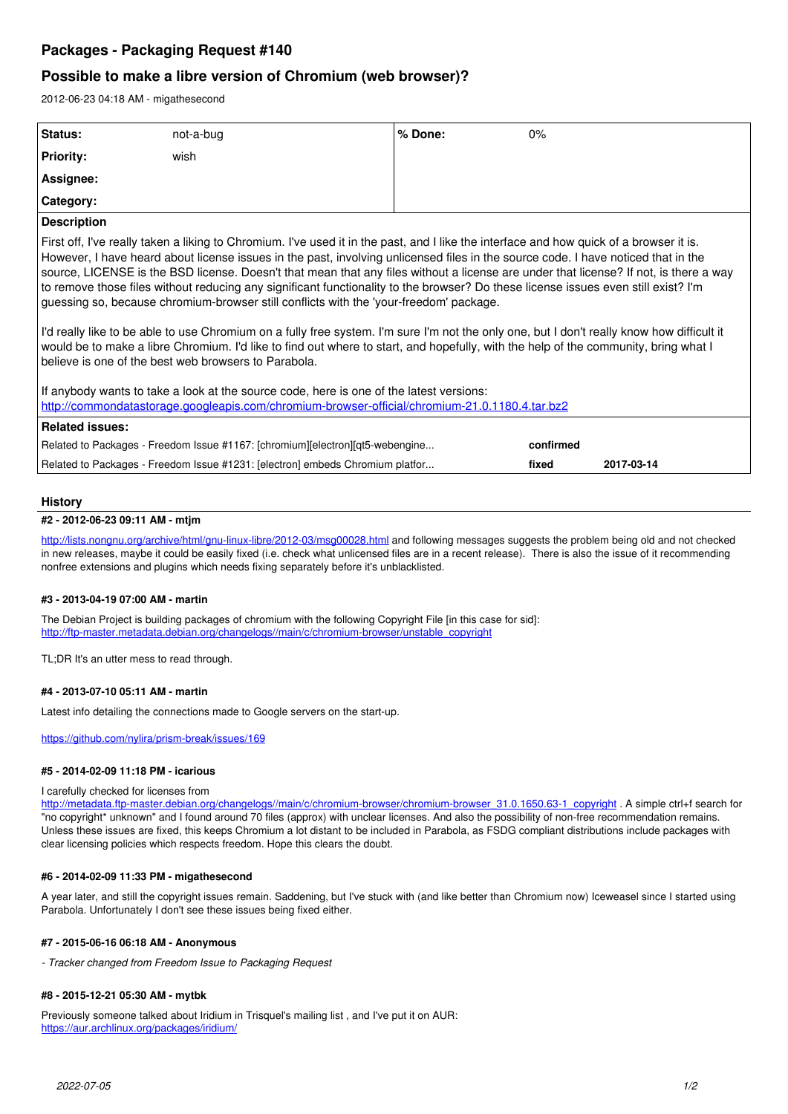# **Packages - Packaging Request #140**

## **Possible to make a libre version of Chromium (web browser)?**

2012-06-23 04:18 AM - migathesecond

| Status:                                                                                                                                                                                                                                                                                                                                                                                                                                                                                                                                                                                                                                                                                                                                                                                                                                                                                                                                                                                                                                                                                                                                                                                         | not-a-bug                                                                     | % Done: | $0\%$     |            |
|-------------------------------------------------------------------------------------------------------------------------------------------------------------------------------------------------------------------------------------------------------------------------------------------------------------------------------------------------------------------------------------------------------------------------------------------------------------------------------------------------------------------------------------------------------------------------------------------------------------------------------------------------------------------------------------------------------------------------------------------------------------------------------------------------------------------------------------------------------------------------------------------------------------------------------------------------------------------------------------------------------------------------------------------------------------------------------------------------------------------------------------------------------------------------------------------------|-------------------------------------------------------------------------------|---------|-----------|------------|
| <b>Priority:</b>                                                                                                                                                                                                                                                                                                                                                                                                                                                                                                                                                                                                                                                                                                                                                                                                                                                                                                                                                                                                                                                                                                                                                                                | wish                                                                          |         |           |            |
| Assignee:                                                                                                                                                                                                                                                                                                                                                                                                                                                                                                                                                                                                                                                                                                                                                                                                                                                                                                                                                                                                                                                                                                                                                                                       |                                                                               |         |           |            |
| Category:                                                                                                                                                                                                                                                                                                                                                                                                                                                                                                                                                                                                                                                                                                                                                                                                                                                                                                                                                                                                                                                                                                                                                                                       |                                                                               |         |           |            |
| <b>Description</b>                                                                                                                                                                                                                                                                                                                                                                                                                                                                                                                                                                                                                                                                                                                                                                                                                                                                                                                                                                                                                                                                                                                                                                              |                                                                               |         |           |            |
| First off, I've really taken a liking to Chromium. I've used it in the past, and I like the interface and how quick of a browser it is.<br>However, I have heard about license issues in the past, involving unlicensed files in the source code. I have noticed that in the<br>source, LICENSE is the BSD license. Doesn't that mean that any files without a license are under that license? If not, is there a way<br>to remove those files without reducing any significant functionality to the browser? Do these license issues even still exist? I'm<br>guessing so, because chromium-browser still conflicts with the 'your-freedom' package.<br>I'd really like to be able to use Chromium on a fully free system. I'm sure I'm not the only one, but I don't really know how difficult it<br>would be to make a libre Chromium. I'd like to find out where to start, and hopefully, with the help of the community, bring what I<br>believe is one of the best web browsers to Parabola.<br>If anybody wants to take a look at the source code, here is one of the latest versions:<br>http://commondatastorage.googleapis.com/chromium-browser-official/chromium-21.0.1180.4.tar.bz2 |                                                                               |         |           |            |
| <b>Related issues:</b>                                                                                                                                                                                                                                                                                                                                                                                                                                                                                                                                                                                                                                                                                                                                                                                                                                                                                                                                                                                                                                                                                                                                                                          |                                                                               |         |           |            |
|                                                                                                                                                                                                                                                                                                                                                                                                                                                                                                                                                                                                                                                                                                                                                                                                                                                                                                                                                                                                                                                                                                                                                                                                 | Related to Packages - Freedom Issue #1167: [chromium][electron][qt5-webengine |         | confirmed |            |
| Related to Packages - Freedom Issue #1231: [electron] embeds Chromium platfor                                                                                                                                                                                                                                                                                                                                                                                                                                                                                                                                                                                                                                                                                                                                                                                                                                                                                                                                                                                                                                                                                                                   |                                                                               |         | fixed     | 2017-03-14 |
|                                                                                                                                                                                                                                                                                                                                                                                                                                                                                                                                                                                                                                                                                                                                                                                                                                                                                                                                                                                                                                                                                                                                                                                                 |                                                                               |         |           |            |

## **History**

## **#2 - 2012-06-23 09:11 AM - mtjm**

<http://lists.nongnu.org/archive/html/gnu-linux-libre/2012-03/msg00028.html>and following messages suggests the problem being old and not checked in new releases, maybe it could be easily fixed (i.e. check what unlicensed files are in a recent release). There is also the issue of it recommending nonfree extensions and plugins which needs fixing separately before it's unblacklisted.

### **#3 - 2013-04-19 07:00 AM - martin**

The Debian Project is building packages of chromium with the following Copyright File [in this case for sid]: [http://ftp-master.metadata.debian.org/changelogs//main/c/chromium-browser/unstable\\_copyright](http://ftp-master.metadata.debian.org/changelogs//main/c/chromium-browser/unstable_copyright)

TL;DR It's an utter mess to read through.

#### **#4 - 2013-07-10 05:11 AM - martin**

Latest info detailing the connections made to Google servers on the start-up.

<https://github.com/nylira/prism-break/issues/169>

#### **#5 - 2014-02-09 11:18 PM - icarious**

#### I carefully checked for licenses from

[http://metadata.ftp-master.debian.org/changelogs//main/c/chromium-browser/chromium-browser\\_31.0.1650.63-1\\_copyright](http://metadata.ftp-master.debian.org/changelogs//main/c/chromium-browser/chromium-browser_31.0.1650.63-1_copyright) . A simple ctrl+f search for "no copyright\* unknown" and I found around 70 files (approx) with unclear licenses. And also the possibility of non-free recommendation remains. Unless these issues are fixed, this keeps Chromium a lot distant to be included in Parabola, as FSDG compliant distributions include packages with clear licensing policies which respects freedom. Hope this clears the doubt.

#### **#6 - 2014-02-09 11:33 PM - migathesecond**

A year later, and still the copyright issues remain. Saddening, but I've stuck with (and like better than Chromium now) Iceweasel since I started using Parabola. Unfortunately I don't see these issues being fixed either.

#### **#7 - 2015-06-16 06:18 AM - Anonymous**

*- Tracker changed from Freedom Issue to Packaging Request*

#### **#8 - 2015-12-21 05:30 AM - mytbk**

Previously someone talked about Iridium in Trisquel's mailing list, and I've put it on AUR: <https://aur.archlinux.org/packages/iridium/>